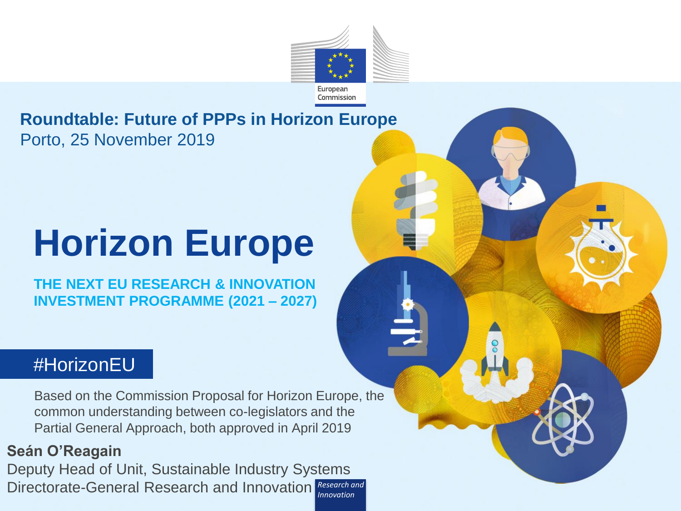

#### **Roundtable: Future of PPPs in Horizon Europe** Porto, 25 November 2019

# **Horizon Europe**

**THE NEXT EU RESEARCH & INNOVATION INVESTMENT PROGRAMME (2021 – 2027)**

#### *#*HorizonEU

Based on the Commission Proposal for Horizon Europe, the common understanding between co-legislators and the Partial General Approach, both approved in April 2019

*Research and*  Directorate-General Research and Innovation Research and **Seán O'Reagain** Deputy Head of Unit, Sustainable Industry Systems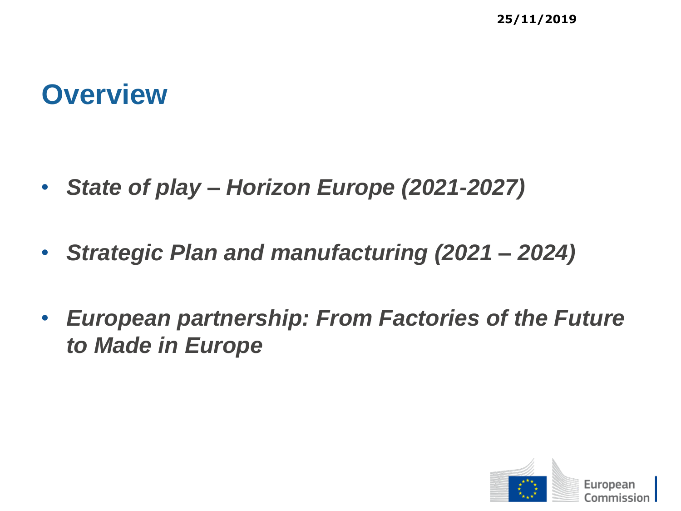#### **Overview**

- *State of play – Horizon Europe (2021-2027)*
- *Strategic Plan and manufacturing (2021 – 2024)*
- *European partnership: From Factories of the Future to Made in Europe*

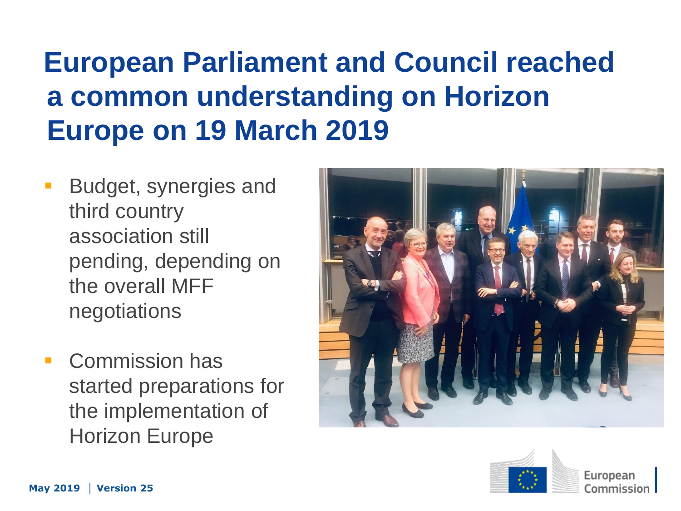## **European Parliament and Council reached a common understanding on Horizon Europe on 19 March 2019**

- Budget, synergies and third country association still pending, depending on the overall MFF negotiations
- **Commission has** started preparations for the implementation of Horizon Europe





European Commission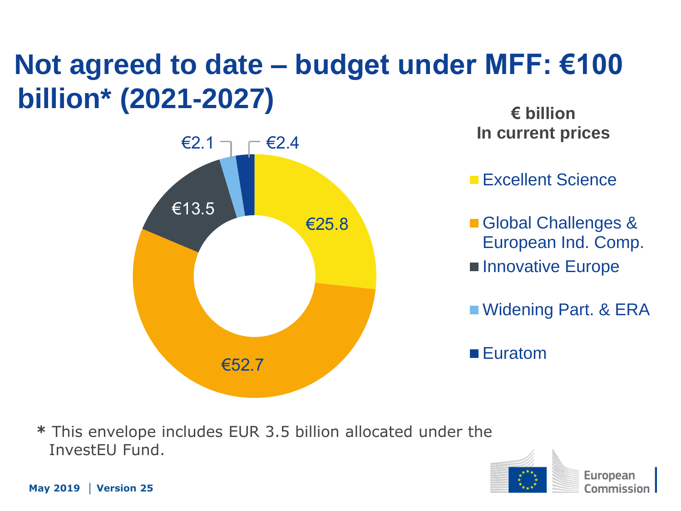## **Not agreed to date – budget under MFF: €100 billion\* (2021-2027)**



**€ billion In current prices**

**Excellent Science** 

Global Challenges & European Ind. Comp.

**Innovative Europe** 

■ Widening Part. & ERA

■ Euratom

**\*** This envelope includes EUR 3.5 billion allocated under the InvestEU Fund.

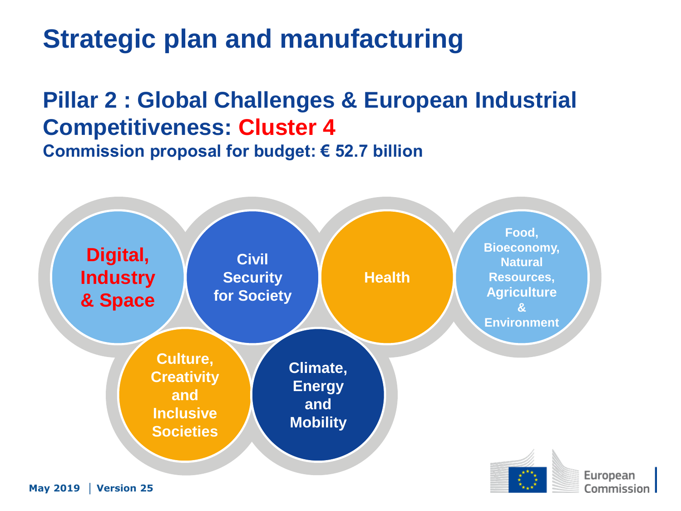## **Strategic plan and manufacturing**

#### **Pillar 2 : Global Challenges & European Industrial Competitiveness: Cluster 4 Commission proposal for budget: € 52.7 billion**

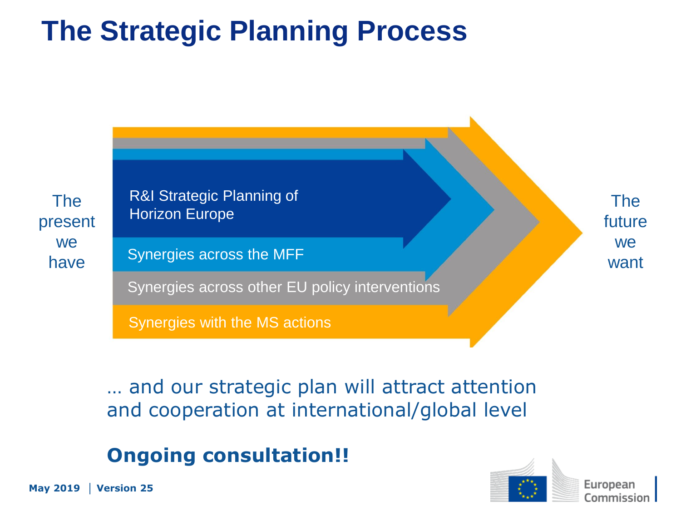## **The Strategic Planning Process**



… and our strategic plan will attract attention and cooperation at international/global level

#### **Ongoing consultation!!**



European Commission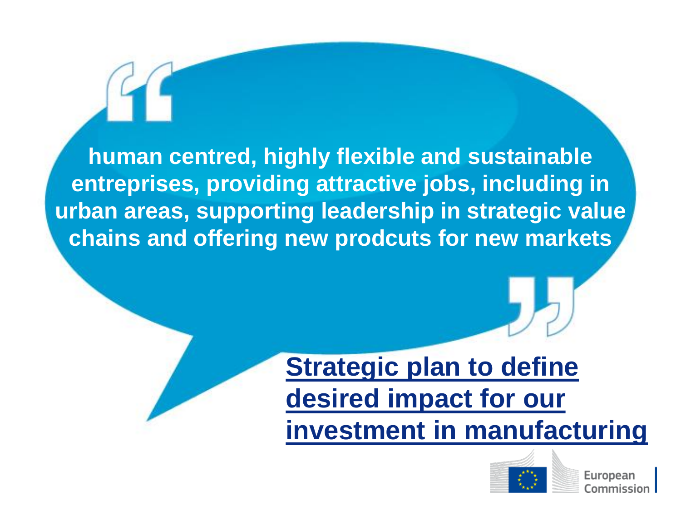**human centred, highly flexible and sustainable entreprises, providing attractive jobs, including in urban areas, supporting leadership in strategic value chains and offering new prodcuts for new markets**

## **Strategic plan to define desired impact for our investment in manufacturing**



European Commission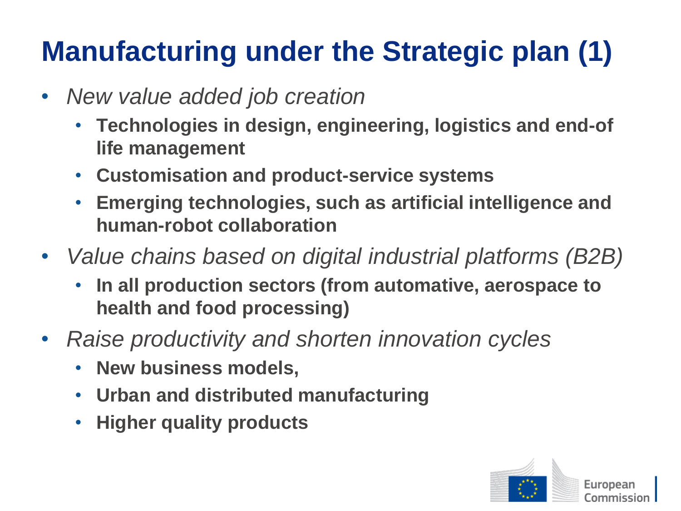## **Manufacturing under the Strategic plan (1)**

- *New value added job creation*
	- **Technologies in design, engineering, logistics and end-of life management**
	- **Customisation and product-service systems**
	- **Emerging technologies, such as artificial intelligence and human-robot collaboration**
- *Value chains based on digital industrial platforms (B2B)* 
	- **In all production sectors (from automative, aerospace to health and food processing)**
- *Raise productivity and shorten innovation cycles*
	- **New business models,**
	- **Urban and distributed manufacturing**
	- **Higher quality products**

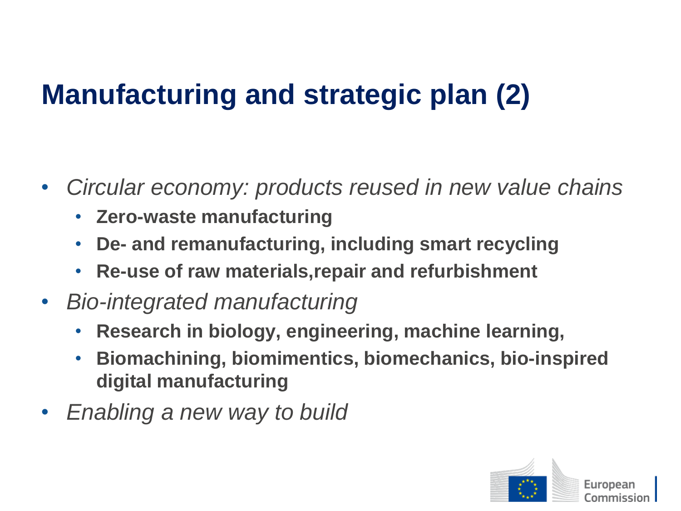## **Manufacturing and strategic plan (2)**

- *Circular economy: products reused in new value chains*
	- **Zero-waste manufacturing**
	- **De- and remanufacturing, including smart recycling**
	- **Re-use of raw materials,repair and refurbishment**
- *Bio-integrated manufacturing*
	- **Research in biology, engineering, machine learning,**
	- **Biomachining, biomimentics, biomechanics, bio-inspired digital manufacturing**
- *Enabling a new way to build*

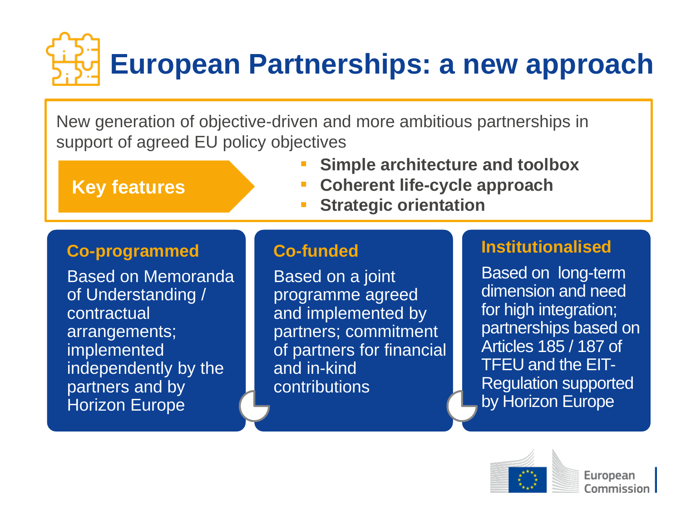# **European Partnerships: a new approach**

New generation of objective-driven and more ambitious partnerships in support of agreed EU policy objectives

**Key features**

- **Simple architecture and toolbox**
- **Coherent life-cycle approach**
- **Strategic orientation**

#### **Co-programmed**

Based on Memoranda of Understanding / contractual arrangements; implemented independently by the partners and by Horizon Europe

#### **Co-funded**

Based on a joint programme agreed and implemented by partners; commitment of partners for financial and in-kind **contributions** 

#### **Institutionalised**

Based on long-term dimension and need for high integration; partnerships based on Articles 185 / 187 of TFEU and the EIT-Regulation supported by Horizon Europe

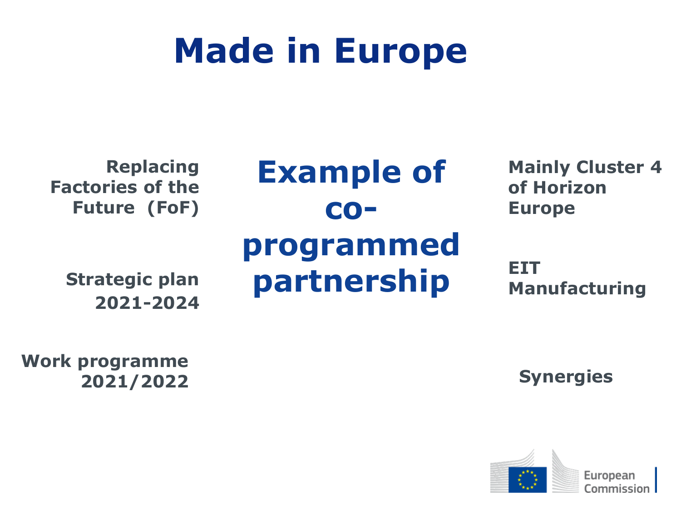# **Made in Europe**

**Replacing Factories of the Future (FoF)**

**Strategic plan 2021-2024**

**Example of coprogrammed partnership** 

**Mainly Cluster 4 of Horizon Europe**

**EIT Manufacturing**

**Work programme 2021/2022**

**Synergies**

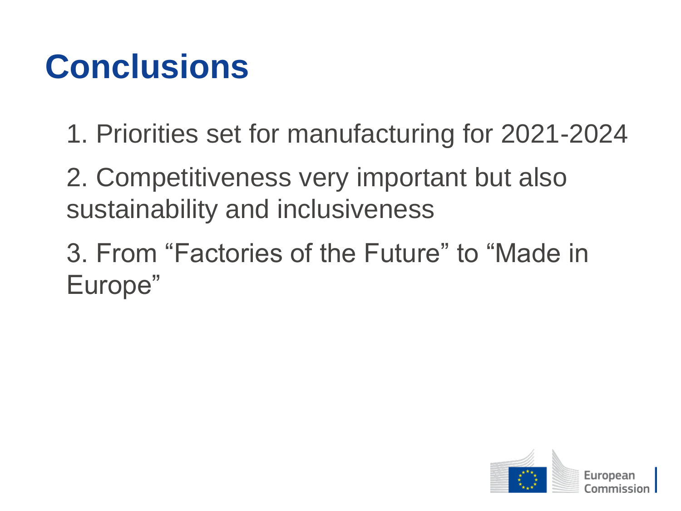## **Conclusions**

- 1. Priorities set for manufacturing for 2021-2024
- 2. Competitiveness very important but also sustainability and inclusiveness
- 3. From "Factories of the Future" to "Made in Europe"

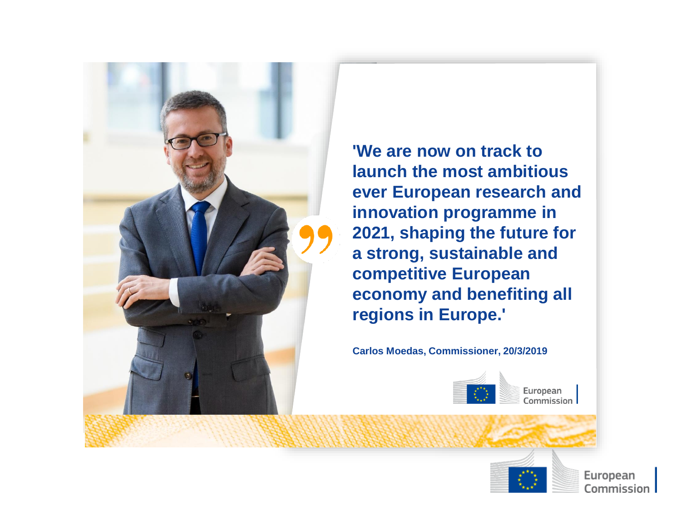

**'We are now on track to launch the most ambitious ever European research and innovation programme in 2021, shaping the future for a strong, sustainable and competitive European economy and benefiting all regions in Europe.'** 

**Carlos Moedas, Commissioner, 20/3/2019**



Commission